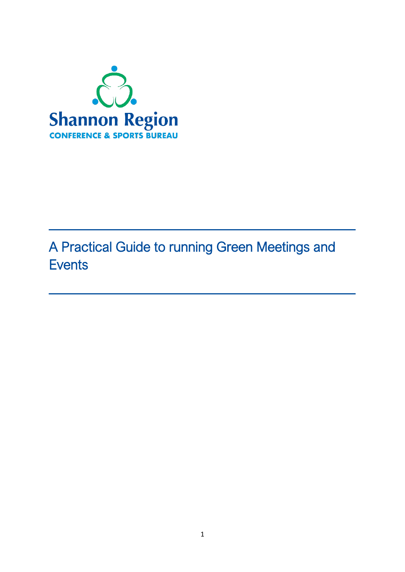

# A Practical Guide to running Green Meetings and **Events**

 $\overline{\phantom{a}}$  , and the contract of the contract of the contract of the contract of the contract of the contract of the contract of the contract of the contract of the contract of the contract of the contract of the contrac

\_\_\_\_\_\_\_\_\_\_\_\_\_\_\_\_\_\_\_\_\_\_\_\_\_\_\_\_\_\_\_\_\_\_\_\_\_\_\_\_\_\_\_\_\_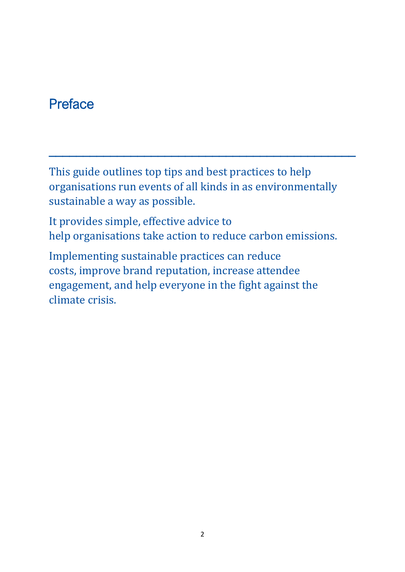## **Preface**

This guide outlines top tips and best practices to help organisations run events of all kinds in as environmentally sustainable a way as possible.

\_\_\_\_\_\_\_\_\_\_\_\_\_\_\_\_\_\_\_\_\_\_\_\_\_\_\_\_\_\_\_\_\_\_\_\_\_\_\_\_\_\_\_\_\_

It provides simple, effective advice to help organisations take action to reduce carbon emissions.

Implementing sustainable practices can reduce costs, improve brand reputation, increase attendee engagement, and help everyone in the fight against the climate crisis.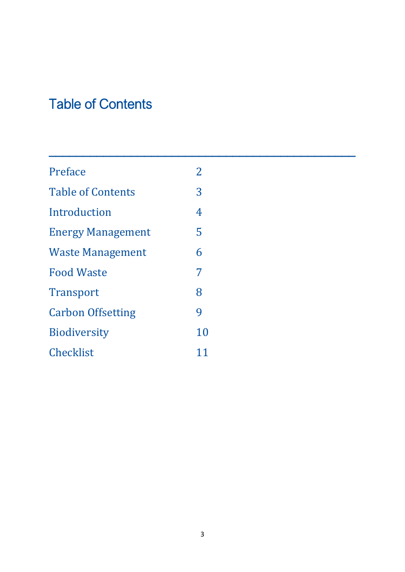# Table of Contents

| Preface                  | $\overline{2}$ |
|--------------------------|----------------|
| <b>Table of Contents</b> | 3              |
| Introduction             | 4              |
| <b>Energy Management</b> | 5              |
| <b>Waste Management</b>  | 6              |
| <b>Food Waste</b>        | 7              |
| <b>Transport</b>         | 8              |
| <b>Carbon Offsetting</b> | 9              |
| <b>Biodiversity</b>      | 10             |
| Checklist                | 11             |

\_\_\_\_\_\_\_\_\_\_\_\_\_\_\_\_\_\_\_\_\_\_\_\_\_\_\_\_\_\_\_\_\_\_\_\_\_\_\_\_\_\_\_\_\_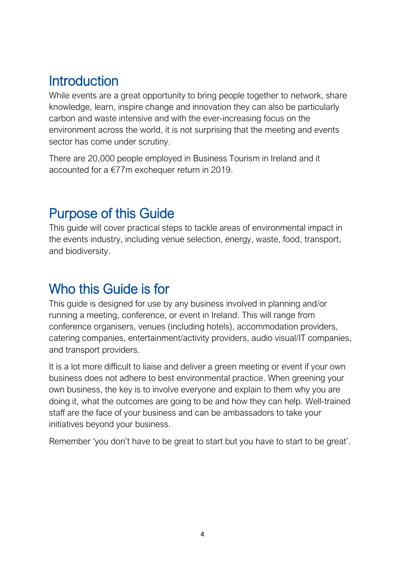# **Introduction**

While events are a great opportunity to bring people together to network, share knowledge, learn, inspire change and innovation they can also be particularly carbon and waste intensive and with the ever-increasing focus on the environment across the world, it is not surprising that the meeting and events sector has come under scrutiny.

There are 20,000 people employed in Business Tourism in Ireland and it accounted for a €77m exchequer return in 2019.

## Purpose of this Guide

This guide will cover practical steps to tackle areas of environmental impact in the events industry, including venue selection, energy, waste, food, transport, and biodiversity.

## Who this Guide is for

This guide is designed for use by any business involved in planning and/or running a meeting, conference, or event in Ireland. This will range from conference organisers, venues (including hotels), accommodation providers, catering companies, entertainment/activity providers, audio visual/IT companies, and transport providers.

It is a lot more difficult to liaise and deliver a green meeting or event if your own business does not adhere to best environmental practice. When greening your own business, the key is to involve everyone and explain to them why you are doing it, what the outcomes are going to be and how they can help. Well-trained staff are the face of your business and can be ambassadors to take your initiatives beyond your business.

Remember 'you don't have to be great to start but you have to start to be great'.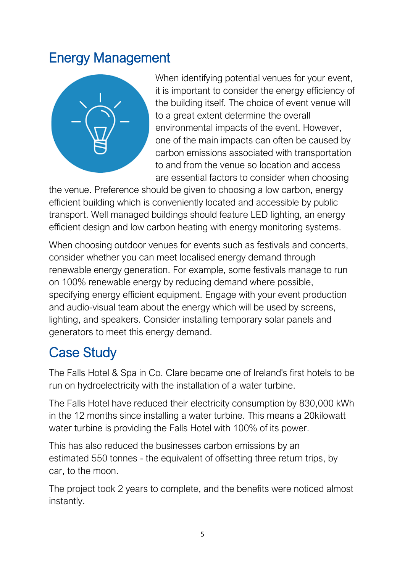## Energy Management



When identifying potential venues for your event, it is important to consider the energy efficiency of the building itself. The choice of event venue will to a great extent determine the overall environmental impacts of the event. However, one of the main impacts can often be caused by carbon emissions associated with transportation to and from the venue so location and access are essential factors to consider when choosing

the venue. Preference should be given to choosing a low carbon, energy efficient building which is conveniently located and accessible by public transport. Well managed buildings should feature LED lighting, an energy efficient design and low carbon heating with energy monitoring systems.

When choosing outdoor venues for events such as festivals and concerts, consider whether you can meet localised energy demand through renewable energy generation. For example, some festivals manage to run on 100% renewable energy by reducing demand where possible, specifying energy efficient equipment. Engage with your event production and audio-visual team about the energy which will be used by screens, lighting, and speakers. Consider installing temporary solar panels and generators to meet this energy demand.

# Case Study

The Falls Hotel & Spa in Co. Clare became one of Ireland's first hotels to be run on hydroelectricity with the installation of a water turbine.

The Falls Hotel have reduced their electricity consumption by 830,000 kWh in the 12 months since installing a water turbine. This means a 20kilowatt water turbine is providing the Falls Hotel with [100%](https://clarechampion.ie/the-power-of-water-runs-the-falls/) of its power.

This has also reduced the businesses carbon emissions by an estimated [550 tonnes](https://www.clareecho.ie/falls-hotel-becomes-first-in-ireland-to-run-on-its-own-hydroelectricity/) - the equivalent of offsetting three return trips, by car, to the moon.

The project took 2 years to complete, and the benefits were noticed almost instantly.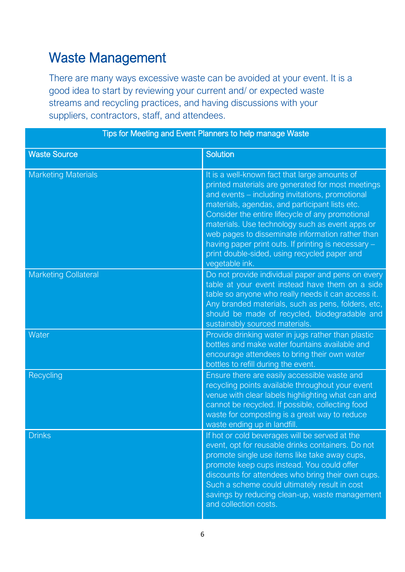## Waste Management

There are many ways excessive waste can be avoided at your event. It is a good idea to start by reviewing your current and/ or expected waste streams and recycling practices, and having discussions with your suppliers, contractors, staff, and attendees.

| Tips for Meeting and Event Planners to help manage Waste |                                                                                                                                                                                                                                                                                                                                                                                                                                                                                             |  |
|----------------------------------------------------------|---------------------------------------------------------------------------------------------------------------------------------------------------------------------------------------------------------------------------------------------------------------------------------------------------------------------------------------------------------------------------------------------------------------------------------------------------------------------------------------------|--|
| <b>Waste Source</b>                                      | <b>Solution</b>                                                                                                                                                                                                                                                                                                                                                                                                                                                                             |  |
| <b>Marketing Materials</b>                               | It is a well-known fact that large amounts of<br>printed materials are generated for most meetings<br>and events - including invitations, promotional<br>materials, agendas, and participant lists etc.<br>Consider the entire lifecycle of any promotional<br>materials. Use technology such as event apps or<br>web pages to disseminate information rather than<br>having paper print outs. If printing is necessary -<br>print double-sided, using recycled paper and<br>vegetable ink. |  |
| <b>Marketing Collateral</b>                              | Do not provide individual paper and pens on every<br>table at your event instead have them on a side<br>table so anyone who really needs it can access it.<br>Any branded materials, such as pens, folders, etc,<br>should be made of recycled, biodegradable and<br>sustainably sourced materials.                                                                                                                                                                                         |  |
| Water                                                    | Provide drinking water in jugs rather than plastic<br>bottles and make water fountains available and<br>encourage attendees to bring their own water<br>bottles to refill during the event.                                                                                                                                                                                                                                                                                                 |  |
| Recycling                                                | Ensure there are easily accessible waste and<br>recycling points available throughout your event<br>venue with clear labels highlighting what can and<br>cannot be recycled. If possible, collecting food<br>waste for composting is a great way to reduce<br>waste ending up in landfill.                                                                                                                                                                                                  |  |
| <b>Drinks</b>                                            | If hot or cold beverages will be served at the<br>event, opt for reusable drinks containers. Do not<br>promote single use items like take away cups,<br>promote keep cups instead. You could offer<br>discounts for attendees who bring their own cups.<br>Such a scheme could ultimately result in cost<br>savings by reducing clean-up, waste management<br>and collection costs.                                                                                                         |  |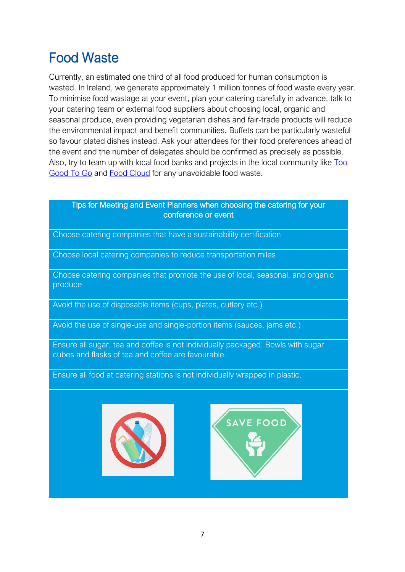# Food Waste

Currently, an estimated one third of all food produced for human consumption is wasted. In Ireland, we generate approximately 1 million tonnes of food waste every year. To minimise food wastage at your event, plan your catering carefully in advance, talk to your catering team or external food suppliers about choosing local, organic and seasonal produce, even providing vegetarian dishes and fair-trade products will reduce the environmental impact and benefit communities. Buffets can be particularly wasteful so favour plated dishes instead. Ask your attendees for their food preferences ahead of the event and the number of delegates should be confirmed as precisely as possible. Also, try to team up with local food banks and projects in the local community like [Too](https://toogoodtogo.ie/en-ie)  [Good To Go](https://toogoodtogo.ie/en-ie) and [Food Cloud](https://food.cloud/) for any unavoidable food waste.

### Tips for Meeting and Event Planners when choosing the catering for your conference or event

Choose catering companies that have a sustainability certification

Choose local catering companies to reduce transportation miles

Choose catering companies that promote the use of local, seasonal, and organic produce

Avoid the use of disposable items (cups, plates, cutlery etc.)

Avoid the use of single-use and single-portion items (sauces, jams etc.)

Ensure all sugar, tea and coffee is not individually packaged. Bowls with sugar cubes and flasks of tea and coffee are favourable.

Ensure all food at catering stations is not individually wrapped in plastic.



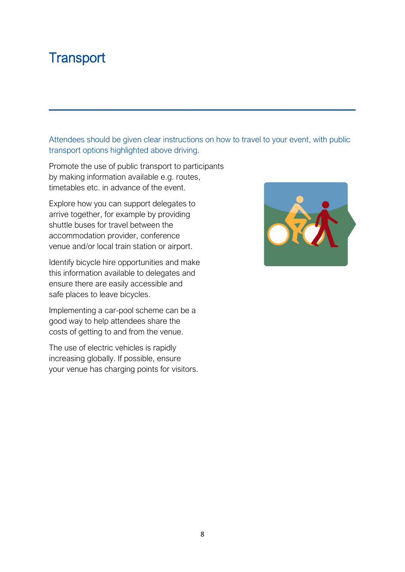## **Transport**

Attendees should be given clear instructions on how to travel to your event, with public transport options highlighted above driving.

\_\_\_\_\_\_\_\_\_\_\_\_\_\_\_\_\_\_\_\_\_\_\_\_\_\_\_\_\_\_\_\_\_\_\_\_\_\_\_\_\_\_\_\_\_

Promote the use of public transport to participants by making information available e.g. routes, timetables etc. in advance of the event.

Explore how you can support delegates to arrive together, for example by providing shuttle buses for travel between the accommodation provider, conference venue and/or local train station or airport.

Identify bicycle hire opportunities and make this information available to delegates and ensure there are easily accessible and safe places to leave bicycles.

Implementing a car-pool scheme can be a good way to help attendees share the costs of getting to and from the venue.

The use of electric vehicles is rapidly increasing globally. If possible, ensure your venue has charging points for visitors.

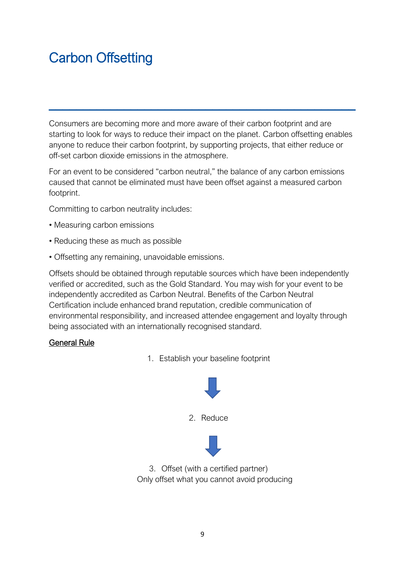# Carbon Offsetting

Consumers are becoming more and more aware of their carbon footprint and are starting to look for ways to reduce their impact on the planet. Carbon offsetting enables anyone to reduce their carbon footprint, by supporting projects, that either reduce or off-set carbon dioxide emissions in the atmosphere.

\_\_\_\_\_\_\_\_\_\_\_\_\_\_\_\_\_\_\_\_\_\_\_\_\_\_\_\_\_\_\_\_\_\_\_\_\_\_\_\_\_\_\_\_\_

For an event to be considered "carbon neutral," the balance of any carbon emissions caused that cannot be eliminated must have been offset against a measured carbon footprint.

Committing to carbon neutrality includes:

- Measuring carbon emissions
- Reducing these as much as possible
- Offsetting any remaining, unavoidable emissions.

Offsets should be obtained through reputable sources which have been independently verified or accredited, such as the Gold Standard. You may wish for your event to be independently accredited as Carbon Neutral. Benefits of the Carbon Neutral Certification include enhanced brand reputation, credible communication of environmental responsibility, and increased attendee engagement and loyalty through being associated with an internationally recognised standard.

### General Rule

1. Establish your baseline footprint





3. Offset (with a certified partner) Only offset what you cannot avoid producing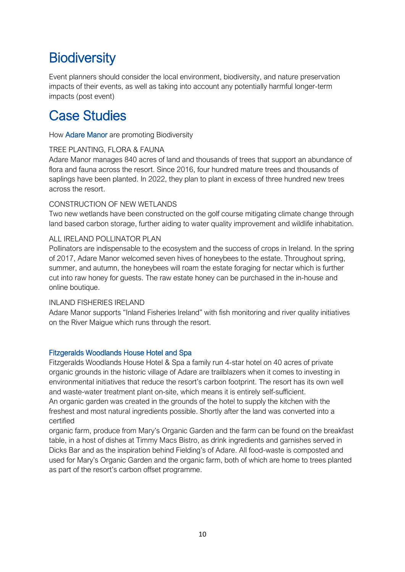# **Biodiversity**

Event planners should consider the local environment, biodiversity, and nature preservation impacts of their events, as well as taking into account any potentially harmful longer-term impacts (post event)

## Case Studies

How Adare Manor are promoting Biodiversity

### TREE PLANTING, FLORA & FAUNA

Adare Manor manages 840 acres of land and thousands of trees that support an abundance of flora and fauna across the resort. Since 2016, four hundred mature trees and thousands of saplings have been planted. In 2022, they plan to plant in excess of three hundred new trees across the resort.

### CONSTRUCTION OF NEW WETLANDS

Two new wetlands have been constructed on the golf course mitigating climate change through land based carbon storage, further aiding to water quality improvement and wildlife inhabitation.

### ALL IRELAND POLLINATOR PLAN

Pollinators are indispensable to the ecosystem and the success of crops in Ireland. In the spring of 2017, Adare Manor welcomed seven hives of honeybees to the estate. Throughout spring, summer, and autumn, the honeybees will roam the estate foraging for nectar which is further cut into raw honey for guests. The raw estate honey can be purchased in the in-house and online boutique.

#### INLAND FISHERIES IRELAND

Adare Manor supports "Inland Fisheries Ireland" with fish monitoring and river quality initiatives on the River Maigue which runs through the resort.

### Fitzgeralds Woodlands House Hotel and Spa

Fitzgeralds Woodlands House Hotel & Spa a family run 4-star hotel on 40 acres of private organic grounds in the historic village of Adare are trailblazers when it comes to investing in environmental initiatives that reduce the resort's carbon footprint. The resort has its own well and waste-water treatment plant on-site, which means it is entirely self-sufficient. An organic garden was created in the grounds of the hotel to supply the kitchen with the freshest and most natural ingredients possible. Shortly after the land was converted into a certified

organic farm, produce from Mary's Organic Garden and the farm can be found on the breakfast table, in a host of dishes at Timmy Macs Bistro, as drink ingredients and garnishes served in Dicks Bar and as the inspiration behind Fielding's of Adare. All food-waste is composted and used for Mary's Organic Garden and the organic farm, both of which are home to trees planted as part of the resort's carbon offset programme.